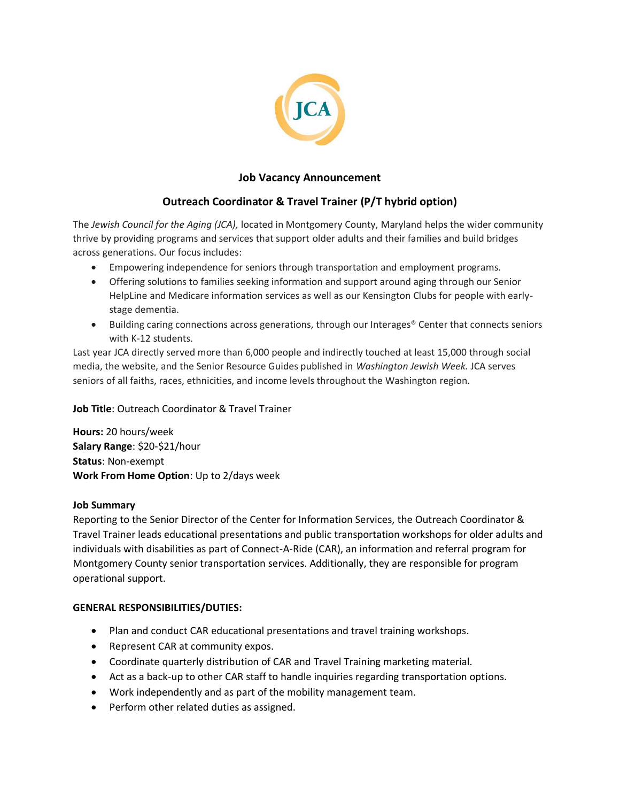

## **Job Vacancy Announcement**

# **Outreach Coordinator & Travel Trainer (P/T hybrid option)**

The *Jewish Council for the Aging (JCA),* located in Montgomery County, Maryland helps the wider community thrive by providing programs and services that support older adults and their families and build bridges across generations. Our focus includes:

- Empowering independence for seniors through transportation and employment programs.
- Offering solutions to families seeking information and support around aging through our Senior HelpLine and Medicare information services as well as our Kensington Clubs for people with earlystage dementia.
- Building caring connections across generations, through our Interages<sup>®</sup> Center that connects seniors with K-12 students.

Last year JCA directly served more than 6,000 people and indirectly touched at least 15,000 through social media, the website, and the Senior Resource Guides published in *Washington Jewish Week.* JCA serves seniors of all faiths, races, ethnicities, and income levels throughout the Washington region.

**Job Title**: Outreach Coordinator & Travel Trainer

**Hours:** 20 hours/week **Salary Range**: \$20-\$21/hour **Status**: Non-exempt **Work From Home Option**: Up to 2/days week

#### **Job Summary**

Reporting to the Senior Director of the Center for Information Services, the Outreach Coordinator & Travel Trainer leads educational presentations and public transportation workshops for older adults and individuals with disabilities as part of Connect-A-Ride (CAR), an information and referral program for Montgomery County senior transportation services. Additionally, they are responsible for program operational support.

#### **GENERAL RESPONSIBILITIES/DUTIES:**

- Plan and conduct CAR educational presentations and travel training workshops.
- Represent CAR at community expos.
- Coordinate quarterly distribution of CAR and Travel Training marketing material.
- Act as a back-up to other CAR staff to handle inquiries regarding transportation options.
- Work independently and as part of the mobility management team.
- Perform other related duties as assigned.